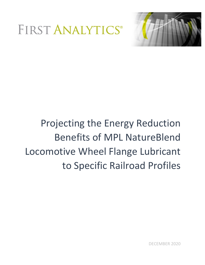



# Projecting the Energy Reduction Benefits of MPL NatureBlend Locomotive Wheel Flange Lubricant to Specific Railroad Profiles

DECEMBER 2020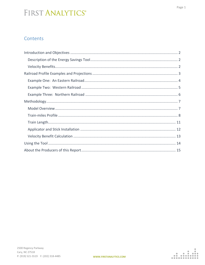#### Contents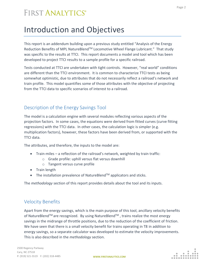# <span id="page-2-0"></span>Introduction and Objectives

This report is an addendum building upon a previous study entitled "Analysis of the Energy Reduction Benefits of MPL NatureBlend™ Locomotive Wheel Flange Lubricant." That study was specific to the results at TTCI. This report documents a model and tool which has been developed to project TTCI results to a sample profile for a specific railroad.

Tests conducted at TTCI are undertaken with tight controls. However, "real world" conditions are different than the TTCI environment. It is common to characterize TTCI tests as being somewhat optimistic, due to attributes that do not necessarily reflect a railroad's network and train profile. This model quantifies some of those attributes with the objective of projecting from the TTCI data to specific scenarios of interest to a railroad.

#### <span id="page-2-1"></span>Description of the Energy Savings Tool

The model is a calculation engine with several modules reflecting various aspects of the projection factors. In some cases, the equations were derived from fitted curves (curve fitting regressions) with the TTCI data. In other cases, the calculation logic is simpler (e.g. multiplication factors), however, these factors have been derived from, or supported with the TTCI data.

The attributes, and therefore, the inputs to the model are:

- Train-miles a reflection of the railroad's network, weighted by train traffic:
	- o Grade profile: uphill versus flat versus downhill
	- o Tangent versus curve profile
- Train length
- The installation prevalence of NatureBlend<sup>TM</sup> applicators and sticks.

The *methodology* section of this report provides details about the tool and its inputs.

#### <span id="page-2-2"></span>Velocity Benefits

Apart from the energy savings, which is the main purpose of this tool, ancillary velocity benefits of NatureBlend<sup>TM</sup> are recognized. By using NatureBlend<sup>TM</sup>, trains realize the most energy savings in the midrange of throttle positions, due to the reduction of the coefficient of friction. We have seen that there is a small velocity benefit for trains operating in T8 in addition to energy savings, so a separate calculator was developed to estimate the velocity improvements. This is also described in the *methodology* section.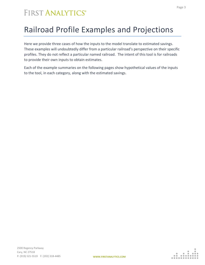# <span id="page-3-0"></span>Railroad Profile Examples and Projections

Here we provide three cases of how the inputs to the model translate to estimated savings. These examples will undoubtedly differ from a particular railroad's perspective on their specific profiles. They do not reflect a particular named railroad. The intent of this tool is for railroads to provide their own inputs to obtain estimates.

Each of the example summaries on the following pages show hypothetical values of the inputs to the tool, in each category, along with the estimated savings.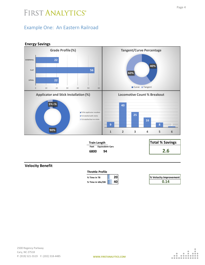#### <span id="page-4-0"></span>Example One: An Eastern Railroad

#### **Energy Savings Total % Savings Feet Equivalent Cars <sup>6800</sup> <sup>94</sup> 2.6 Velocity Benefit % Time in T8 20 % Velocity Improvement Train Length Throttle Profile 2 2 56 2 2** 0 10 20 30 40 50 60 **UPHILL FLAT DOWNHILL Grade Profile (%) 40% 60% Tangent/Curve Percentage** Curve Tangent **5 % 5% 90% Applicator and Stick Installation (%)** ■ % No applicator installed ■ % Installed with sticks ■ % Installed but no sticks **9 40 25 16 8 2 1 2 3 4 5 6 Locomotive Count % Breakout**

**% Time in Idle/DB 40 0.14**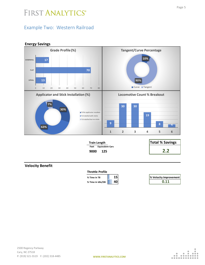#### <span id="page-5-0"></span>Example Two: Western Railroad





| % Velocity Improvement |
|------------------------|
| 0.11                   |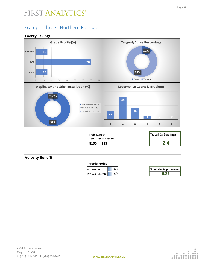#### <span id="page-6-0"></span>Example Three: Northern Railroad





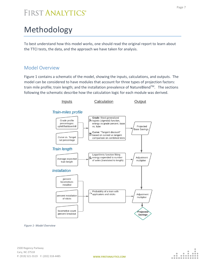# <span id="page-7-0"></span>Methodology

To best understand how this model works, one should read the original report to learn about the TTCI tests, the data, and the approach we have taken for analysis.

#### <span id="page-7-1"></span>Model Overview

Figure 1 contains a schematic of the model, showing the inputs, calculations, and outputs. The model can be considered to have modules that account for three types of projection factors: train mile profile; train length; and the installation prevalence of NatureBlend™. The sections following the schematic describe how the calculation logic for each module was derived.



*Figure 1- Model Overview*

|  | . . |
|--|-----|
|  |     |
|  |     |
|  |     |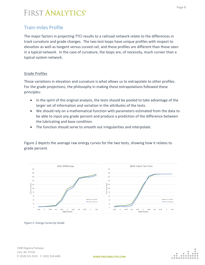#### <span id="page-8-0"></span>Train-miles Profile

The major factors in projecting TTCI results to a railroad network relate to the differences in track curvature and grade changes. The two test loops have unique profiles with respect to elevation as well as tangent versus curved rail, and these profiles are different than those seen in a typical network. In the case of curvature, the loops are, of necessity, much curvier than a typical system network.

#### Grade Profiles

Those variations in elevation and curvature is what allows us to extrapolate to other profiles. For the grade projections, the philosophy in making these extrapolations followed these principles:

- In the spirit of the original analysis, the tests should be pooled to take advantage of the larger set of information and variation in the attributes of the tests.
- We should rely on a mathematical function with parameters estimated from the data to be able to input any grade percent and produce a prediction of the difference between the lubricating and base condition.
- The function should serve to smooth out irregularities and interpolate.

Figure 2 depicts the average raw energy curves for the two tests, showing how it relates to grade percent.



*Figure 2- Energy Curves by Grade*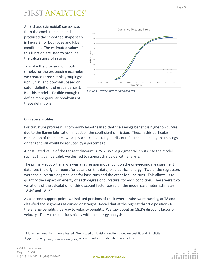An S-shape (sigmoidal) curve<sup>1</sup> was fit to the combined data and produced the smoothed shape seen in figure 3, for both base and lube conditions. The estimated values of this function are used to produce the calculations of savings.

To make the provision of inputs simple, for the proceeding examples we created three simple groupings: uphill; flat; and downhill, based on cutoff definitions of grade percent. But this model is flexible enough to define more granular breakouts of these definitions.





#### Curvature Profiles

For curvature profiles it is commonly hypothesized that the savings benefit is higher on curves, due to the flange lubrication impact on the coefficient of friction. Thus, in this particular calculation of the model, we apply a so-called "tangent discount" – the idea being that savings on tangent rail would be reduced by a percentage.

A postulated value of the tangent discount is 25%. While judgmental inputs into the model such as this can be valid, we desired to support this value with analysis.

The primary support analysis was a regression model built on the one-second measurement data (see the original report for details on this data) on electrical energy. Two of the regressors were the curvature degrees: one for base runs and the other for lube runs. This allows us to quantify the impact on energy of each degree of curvature, for each condition. There were two variations of the calculation of this discount factor based on the model parameter estimates: 18.4% and 18.1%.

As a second support point, we isolated portions of track where trains were running at T8 and classified the segments as curved or straight. Recall that at the highest throttle position (T8), the energy benefits give way to velocity benefits. We saw about an 18.2% discount factor on velocity. This value coincides nicely with the energy analysis.

 $f(grade) = \frac{L}{1+e^{-k(grade-reference grade)}}$  where L and k are estimated parameters.

<sup>&</sup>lt;sup>1</sup> Many functional forms were tested. We settled on logistic function based on best fit and simplicity.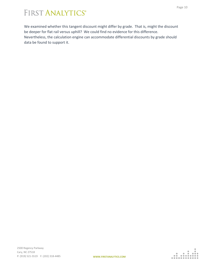We examined whether this tangent discount might differ by grade. That is, might the discount be deeper for flat rail versus uphill? We could find no evidence for this difference. Nevertheless, the calculation engine can accommodate differential discounts by grade should data be found to support it.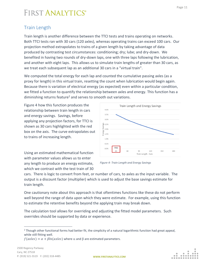#### <span id="page-11-0"></span>Train Length

Train length is another difference between the TTCI tests and trains operating on networks. Both TTCI tests ran with 30 cars (120 axles), whereas operating trains can exceed 100 cars. Our projection method extrapolates to trains of a given length by taking advantage of data produced by contrasting test circumstances: conditioning; dry; lube; and dry-down. We benefited in having two rounds of dry-down laps, one with three laps following the lubrication, and another with eight laps. This allows us to simulate train lengths of greater than 30 cars, as we treat each subsequent lap as an additional 30 cars in a "virtual train".

We computed the total energy for each lap and counted the cumulative passing axles (as a proxy for length) in this virtual train, resetting the count when lubrication would begin again. Because there is variation of electrical energy (as expected) even within a particular condition, we fitted a function to quantify the relationship between axles and energy. This function has a diminishing returns feature<sup>2</sup> and serves to smooth out variations.

Figure 4 how this function produces the relationship between train length in cars and energy savings. Savings, before applying any projection factors, for TTCI is shown as 30 cars highlighted with the red box on the axis. The curve extrapolates out to trains of increasing length.

Using an estimated mathematical function with parameter values allows us to enter any length to produce an energy estimate, which we contrast with the test train of 30



*Figure 4- Train Length and Energy Savings*

cars. There is logic to convert from feet, or number of cars, to axles as the input variable. The output is a discount factor (multiplier) which is used to adjust the base savings estimate for train length.

One cautionary note about this approach is that oftentimes functions like these do not perform well beyond the range of data upon which they were estimate. For example, using this function to estimate the retentive benefits beyond the applying train may break down.

The calculation tool allows for overriding and adjusting the fitted model parameters. Such overrides should be supported by data or experience.

 $<sup>2</sup>$  Though other functional forms had better fit, the simplicity of a natural logarithmic function had great appeal,</sup> while still fitting well.

 $f(\alpha x \le \alpha + \beta \ln(\alpha x \le \alpha))$  where  $\alpha$  and  $\beta$  are estimated parameters.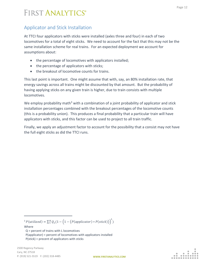#### <span id="page-12-0"></span>Applicator and Stick Installation

At TTCI four applicators with sticks were installed (axles three and four) in each of two locomotives for a total of eight sticks. We need to account for the fact that this may not be the same installation scheme for real trains. For an expected deployment we account for assumptions about:

- the percentage of locomotives with applicators installed;
- the percentage of applicators with sticks;
- the breakout of locomotive counts for trains.

This last point is important. One might assume that with, say, an 80% installation rate, that energy savings across all trains might be discounted by that amount. But the probability of having applying sticks on any given train is higher, due to train consists with multiple locomotives.

We employ probability math<sup>3</sup> with a combination of a joint probability of applicator and stick installation percentages combined with the breakout percentages of the locomotive counts (this is a probability union). This produces a final probability that a particular train will have applicators with sticks, and this factor can be used to project to all train traffic.

Finally, we apply an adjustment factor to account for the possibility that a consist may not have the full eight sticks as did the TTCI runs.

<sup>3</sup>  $P(\text{utilized}) = \sum_{1}^{N} Q_L(1 - \left(1 - \left(P(\text{application}) * P(\text{stick})\right)\right)^L)$ 

Where Q = percent of trains with L locomotives P(applicator) = percent of locomotives with applicators installed P(stick) = precent of applicators with sticks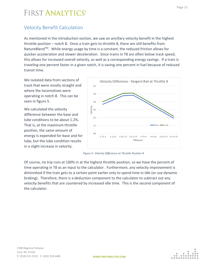#### <span id="page-13-0"></span>Velocity Benefit Calculation

As mentioned in the introduction section, we saw an ancillary velocity benefit in the highest throttle position – notch 8. Once a train gets to throttle 8, there are still benefits from NatureBlend<sup>TM</sup>. While energy usage by time is a constant, the reduced friction allows for quicker acceleration and slower deceleration. Since trains in T8 are often below track speed, this allows for increased overall velocity, as well as a corresponding energy savings. If a train is traveling one percent faster in a given notch, it is saving one percent in fuel because of reduced transit time.

We isolated data from sections of track that were mostly straight and where the locomotives were operating in notch 8. This can be seen in figure 5.

We calculated the velocity difference between the base and lube conditions to be about 1.2%. That is, at the maximum throttle position, the same amount of energy is expended for base and for lube, but the lube condition results in a slight increase in velocity.



*Figure 5- Velocity Difference at Throttle Position 8*

Of course, no trip runs at 100% in at the highest throttle position, so we have the percent of time operating in T8 as an input to the calculator. Furthermore, any velocity improvement is diminished if the train gets to a certain point earlier only to spend time in idle (or use dynamic braking). Therefore, there is a deduction component to the calculator to subtract out any velocity benefits that are countered by increased idle time. This is the second component of the calculator.

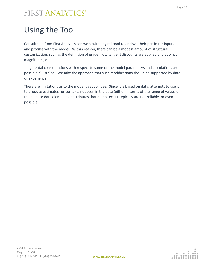# <span id="page-14-0"></span>Using the Tool

Consultants from First Analytics can work with any railroad to analyze their particular inputs and profiles with the model. Within reason, there can be a modest amount of structural customization, such as the definition of grade, how tangent discounts are applied and at what magnitudes, etc.

Judgmental considerations with respect to some of the model parameters and calculations are possible if justified. We take the approach that such modifications should be supported by data or experience.

There are limitations as to the model's capabilities. Since it is based on data, attempts to use it to produce estimates for contexts not seen in the data (either in terms of the range of values of the data, or data elements or attributes that do not exist), typically are not reliable, or even possible.